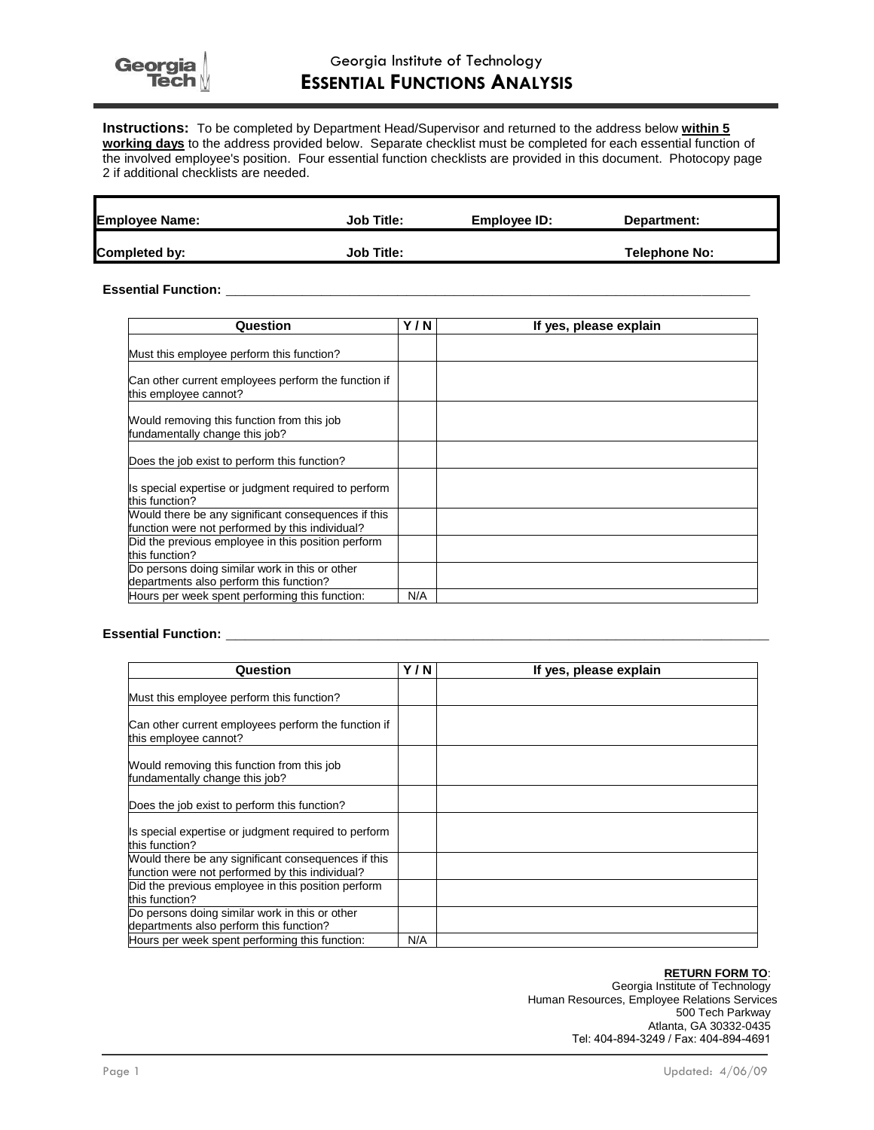**Instructions:** To be completed by Department Head/Supervisor and returned to the address below **within 5 working days** to the address provided below. Separate checklist must be completed for each essential function of the involved employee's position. Four essential function checklists are provided in this document. Photocopy page 2 if additional checklists are needed.

| <b>Employee Name:</b> | <b>Job Title:</b> | Employee ID: | Department:   |  |
|-----------------------|-------------------|--------------|---------------|--|
| Completed by:         | <b>Job Title:</b> |              | Telephone No: |  |

## **Essential Function: \_\_\_\_\_\_\_\_\_\_\_\_\_\_\_\_\_\_\_\_\_\_\_\_\_\_\_\_\_\_\_\_\_\_\_\_\_\_\_\_\_\_\_\_\_\_\_\_\_\_\_\_\_\_\_**

| Question                                                                                               | Y/N | If yes, please explain |
|--------------------------------------------------------------------------------------------------------|-----|------------------------|
| Must this employee perform this function?                                                              |     |                        |
| Can other current employees perform the function if<br>this employee cannot?                           |     |                        |
| Would removing this function from this job<br>fundamentally change this job?                           |     |                        |
| Does the job exist to perform this function?                                                           |     |                        |
| Is special expertise or judgment required to perform<br>this function?                                 |     |                        |
| Would there be any significant consequences if this<br>function were not performed by this individual? |     |                        |
| Did the previous employee in this position perform<br>this function?                                   |     |                        |
| Do persons doing similar work in this or other<br>departments also perform this function?              |     |                        |
| Hours per week spent performing this function:                                                         | N/A |                        |

#### **Essential Function: \_\_\_\_\_\_\_\_\_\_\_\_\_\_\_\_\_\_\_\_\_\_\_\_\_\_\_\_\_\_\_\_\_\_\_\_\_\_\_\_\_\_\_\_\_\_\_\_\_\_\_\_\_\_\_\_\_**

| Question                                                                                               | Y / N | If yes, please explain |
|--------------------------------------------------------------------------------------------------------|-------|------------------------|
| Must this employee perform this function?                                                              |       |                        |
| Can other current employees perform the function if<br>this employee cannot?                           |       |                        |
| Would removing this function from this job<br>fundamentally change this job?                           |       |                        |
| Does the job exist to perform this function?                                                           |       |                        |
| Is special expertise or judgment required to perform<br>this function?                                 |       |                        |
| Would there be any significant consequences if this<br>function were not performed by this individual? |       |                        |
| Did the previous employee in this position perform<br>this function?                                   |       |                        |
| Do persons doing similar work in this or other<br>departments also perform this function?              |       |                        |
| Hours per week spent performing this function:                                                         | N/A   |                        |

### **RETURN FORM TO**:

Georgia Institute of Technology Human Resources, Employee Relations Services 500 Tech Parkway Atlanta, GA 30332-0435 Tel: 404-894-3249 / Fax: 404-894-4691